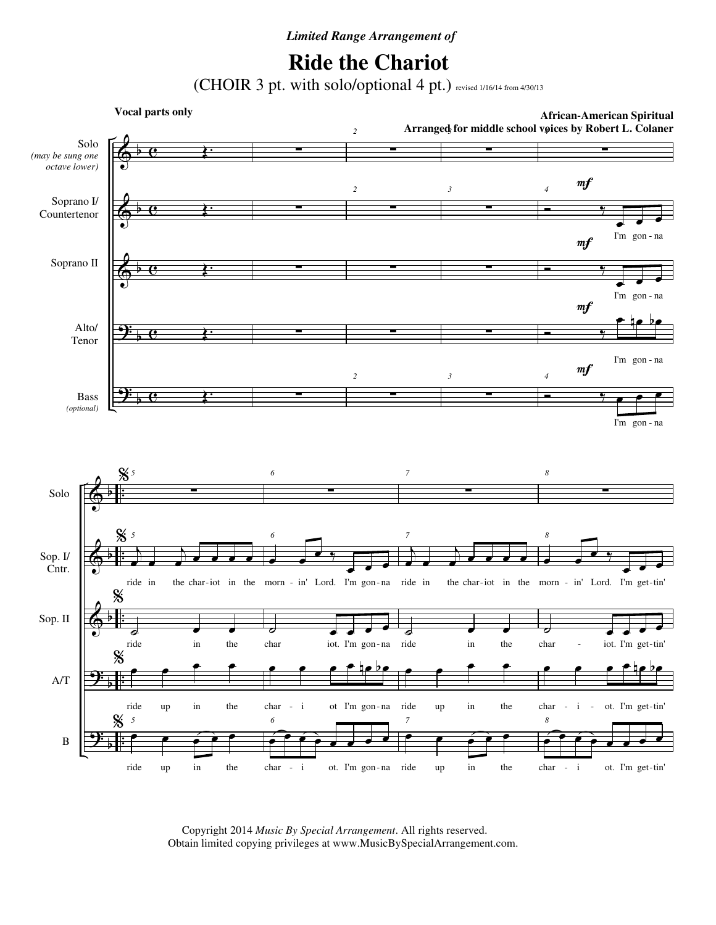## *Limited Range Arrangement of*

## **Ride the Chariot**

(CHOIR 3 pt. with solo/optional 4 pt.) revised 1/16/14 from 4/30/13



 Copyright 2014 *Music By Special Arrangement*. All rights reserved. Obtain limited copying privileges at www.MusicBySpecialArrangement.com.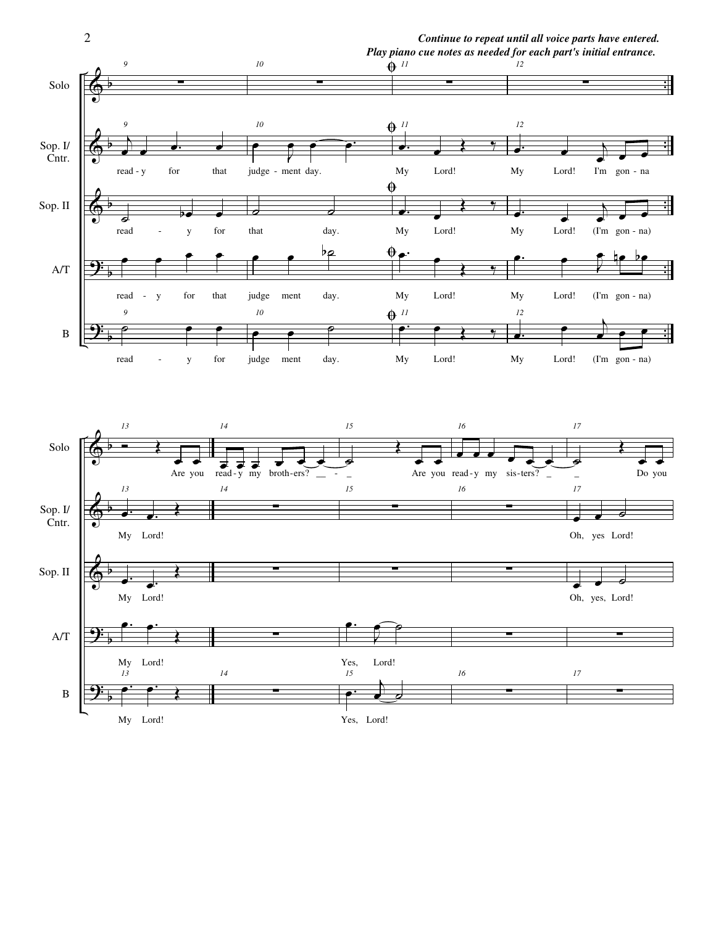